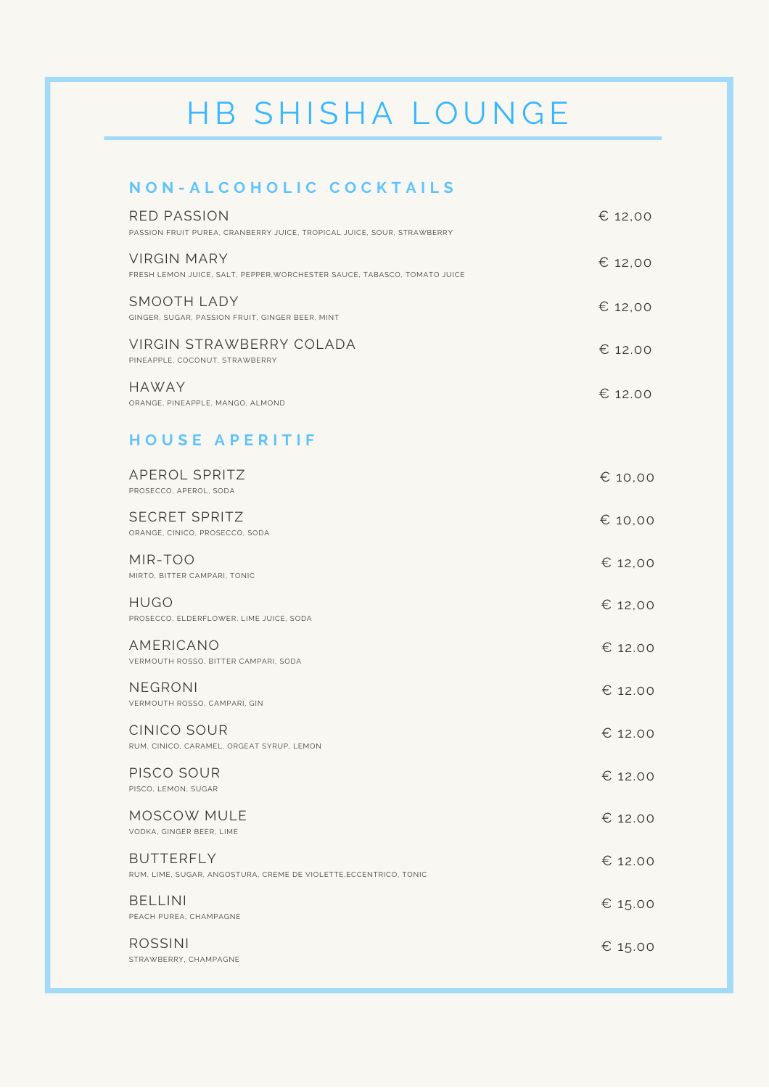## **N O N - A L C O H O L I C C O C K T A I L S**

| <b>RED PASSION</b><br>PASSION FRUIT PUREA, CRANBERRY JUICE, TROPICAL JUICE, SOUR, STRAWBERRY | € 12,00 |
|----------------------------------------------------------------------------------------------|---------|
| VIRGIN MARY<br>FRESH LEMON JUICE, SALT, PEPPER, WORCHESTER SAUCE, TABASCO, TOMATO JUICE      | € 12,00 |
| SMOOTH LADY<br>GINGER, SUGAR, PASSION FRUIT, GINGER BEER, MINT                               | € 12,00 |
| VIRGIN STRAWBERRY COLADA<br>PINEAPPLE, COCONUT, STRAWBERRY                                   | € 12.00 |
| <b>HAWAY</b><br>ORANGE, PINEAPPLE, MANGO, ALMOND                                             | € 12.00 |
| <b>HOUSE APERITIF</b>                                                                        |         |
| <b>APEROL SPRITZ</b><br>PROSECCO, APEROL, SODA                                               | € 10,00 |
| SECRET SPRITZ<br>ORANGE, CINICO, PROSECCO, SODA                                              | € 10,00 |
| MIR-TOO<br>MIRTO, BITTER CAMPARI, TONIC                                                      | € 12,00 |
| HUGO<br>PROSECCO, ELDERFLOWER, LIME JUICE, SODA                                              | € 12,00 |
| AMERICANO<br>VERMOUTH ROSSO, BITTER CAMPARI, SODA                                            | € 12.00 |
| NEGRONI<br>VERMOUTH ROSSO, CAMPARI, GIN                                                      | € 12.00 |
| <b>CINICO SOUR</b><br>RUM, CINICO, CARAMEL, ORGEAT SYRUP, LEMON                              | € 12.00 |
| PISCO SOUR<br>PISCO, LEMON, SUGAR                                                            | € 12.00 |
| MOSCOW MULE<br>VODKA, GINGER BEER, LIME                                                      | € 12.00 |
| <b>BUTTERFLY</b><br>RUM, LIME, SUGAR, ANGOSTURA, CREME DE VIOLETTE, ECCENTRICO, TONIC        | € 12.00 |

BELLINI PEACH PUREA, CHAMPAGNE ROSSINI STRAWBERRY, CHAMPAGNE € 15.00 € 15.00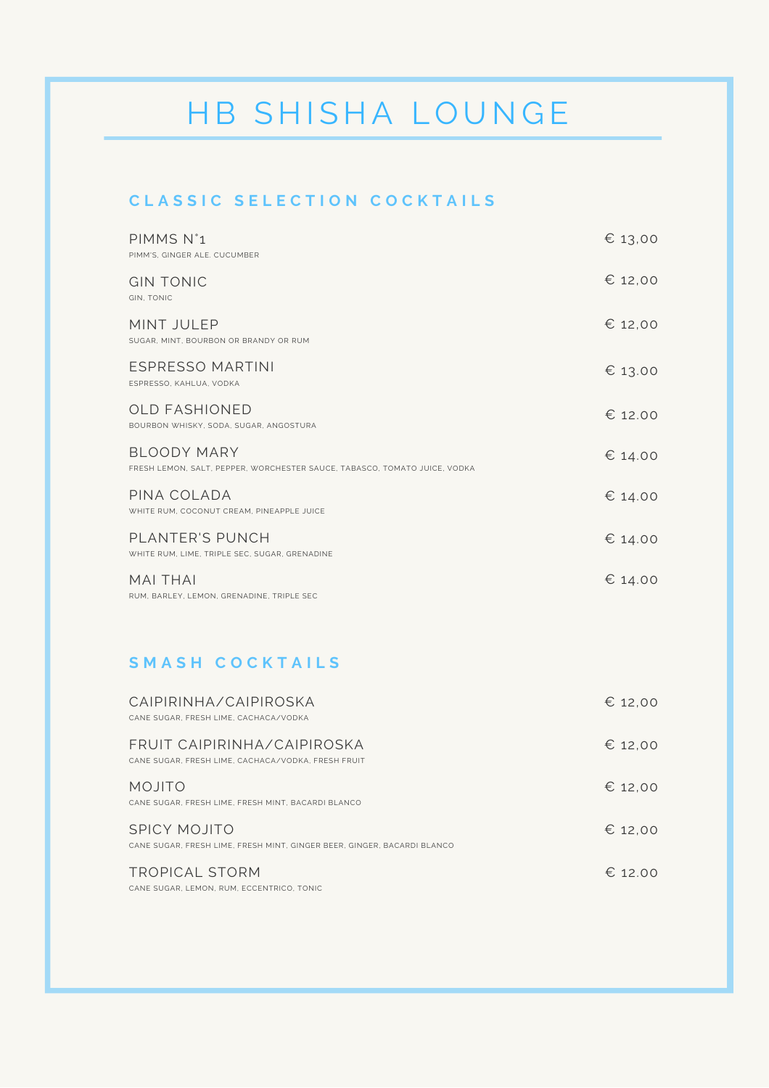### **C L A S S I C S E L E C T I O N C O C K T A I L S**

| PIMMS N°1<br>PIMM'S, GINGER ALE. CUCUMBER                                                | € 13,00 |
|------------------------------------------------------------------------------------------|---------|
| <b>GIN TONIC</b><br>GIN, TONIC                                                           | € 12,00 |
| MINT JULEP<br>SUGAR, MINT, BOURBON OR BRANDY OR RUM                                      | € 12,00 |
| <b>ESPRESSO MARTINI</b><br>ESPRESSO, KAHLUA, VODKA                                       | € 13.00 |
| <b>OLD FASHIONED</b><br>BOURBON WHISKY, SODA, SUGAR, ANGOSTURA                           | € 12.00 |
| BLOODY MARY<br>FRESH LEMON, SALT, PEPPER, WORCHESTER SAUCE, TABASCO, TOMATO JUICE, VODKA | € 14.00 |
| PINA COLADA<br>WHITE RUM, COCONUT CREAM, PINEAPPLE JUICE                                 | € 14.00 |
| PLANTER'S PUNCH<br>WHITE RUM, LIME, TRIPLE SEC, SUGAR, GRENADINE                         | € 14.00 |
| MAI THAI<br>RUM, BARLEY, LEMON, GRENADINE, TRIPLE SEC                                    | € 14.00 |

#### **S M A S H C O C K T A I L S**

| CAIPIRINHA/CAIPIROSKA<br>CANE SUGAR, FRESH LIME, CACHACA/VODKA                          | € 12.00 |
|-----------------------------------------------------------------------------------------|---------|
| FRUIT CAIPIRINHA/CAIPIROSKA<br>CANE SUGAR, FRESH LIME, CACHACA/VODKA, FRESH FRUIT       | € 12.00 |
| <b>MOJITO</b><br>CANE SUGAR, FRESH LIME, FRESH MINT, BACARDI BLANCO                     | € 12,00 |
| SPICY MOJITO<br>CANE SUGAR, FRESH LIME, FRESH MINT, GINGER BEER, GINGER, BACARDI BLANCO | € 12.00 |
| TROPICAL STORM<br>CANE SUGAR, LEMON, RUM, ECCENTRICO, TONIC                             | € 12.00 |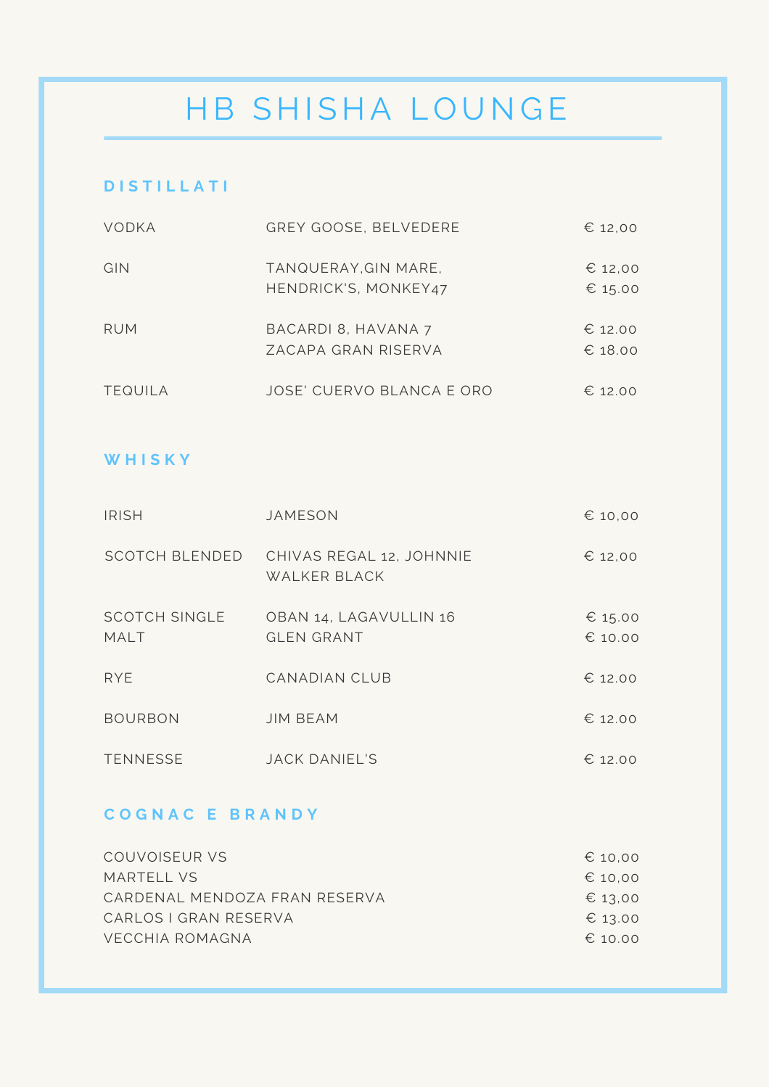### **D I S T I L L A T I**

| <b>VODKA</b>   | GREY GOOSE, BELVEDERE                        | € 12.00            |
|----------------|----------------------------------------------|--------------------|
| GIN            | TANQUERAY, GIN MARE,<br>HENDRICK'S, MONKEY47 | € 12,00<br>€ 15.00 |
| RUM            | BACARDI 8, HAVANA 7<br>ZACAPA GRAN RISERVA   | € 12.00<br>€ 18.00 |
| <b>TEQUILA</b> | JOSE' CUERVO BLANCA E ORO                    | € 12.00            |

#### **W H I S K Y**

| <b>IRISH</b>                        | <b>JAMESON</b>                                  | € 10.00            |
|-------------------------------------|-------------------------------------------------|--------------------|
| <b>SCOTCH BLENDED</b>               | CHIVAS REGAL 12, JOHNNIE<br><b>WALKER BLACK</b> | € 12,00            |
| <b>SCOTCH SINGLE</b><br><b>MALT</b> | OBAN 14, LAGAVULLIN 16<br><b>GLEN GRANT</b>     | € 15.00<br>€ 10.00 |
| <b>RYF</b>                          | CANADIAN CLUB                                   | € 12.00            |
| <b>BOURBON</b>                      | <b>JIM BEAM</b>                                 | € 12.00            |
| <b>TENNESSE</b>                     | <b>JACK DANIEL'S</b>                            | € 12.00            |

### **C O G N A C E B R A N D Y**

| COUVOISEUR VS                 | € 10.00 |
|-------------------------------|---------|
| MARTELL VS                    | € 10.00 |
| CARDENAL MENDOZA FRAN RESERVA | € 13.00 |
| CARI OS I GRAN RESERVA        | € 13.00 |
| VECCHIA ROMAGNA               | € 10.00 |
|                               |         |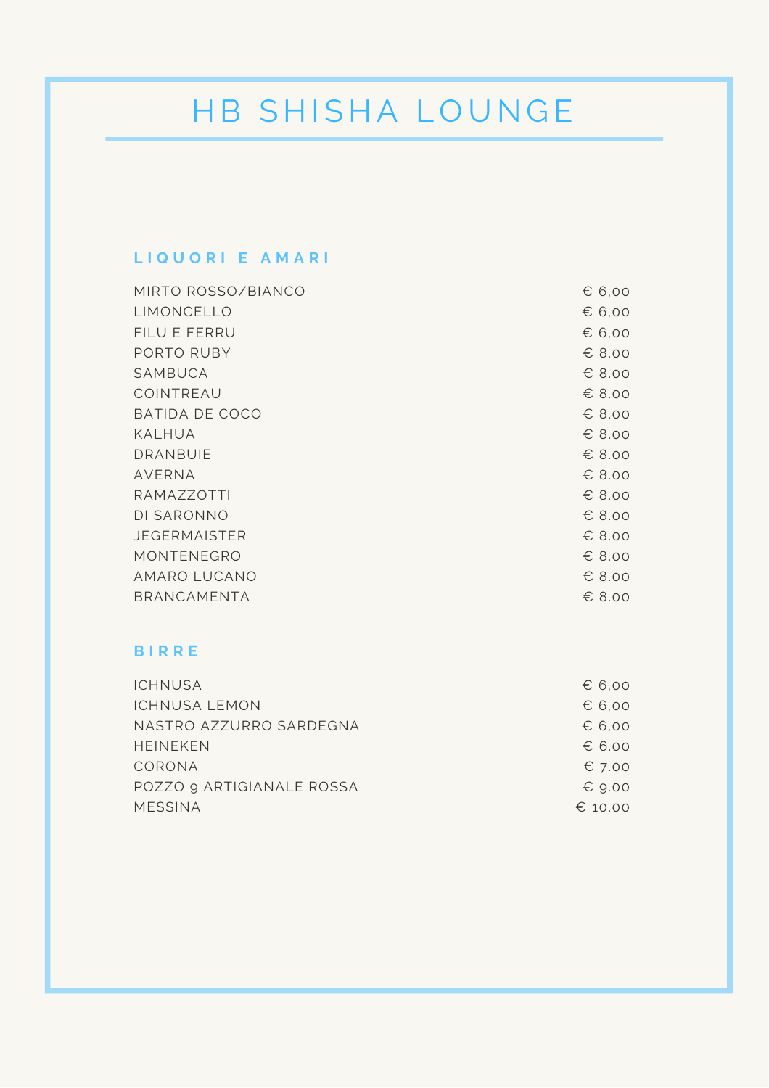## **L I Q U O R I E A M A R I**

| MIRTO ROSSO/BIANCO  | $\epsilon$ 6,00 |
|---------------------|-----------------|
| LIMONCELLO          | € 6,00          |
| FILU E FERRU        | € 6,00          |
| PORTO RUBY          | $\epsilon$ 8.00 |
| SAMBUCA             | € 8.00          |
| COINTREAU           | $\epsilon$ 8.00 |
| BATIDA DE COCO      | $\epsilon$ 8.00 |
| KALHUA              | $\epsilon$ 8.00 |
| DRANBUIE            | $\epsilon$ 8.00 |
| AVERNA              | $\epsilon$ 8.00 |
| RAMAZZOTTI          | $\epsilon$ 8.00 |
| DI SARONNO          | $\epsilon$ 8.00 |
| <b>JEGERMAISTER</b> | $\epsilon$ 8.00 |
| MONTENEGRO          | $\epsilon$ 8.00 |
| AMARO LUCANO        | € 8.00          |
| BRANCAMENTA         | $\epsilon$ 8.00 |

### **B I R R E**

| <b>ICHNUSA</b>            | $\epsilon$ 6,00 |
|---------------------------|-----------------|
| ICHNUSA LEMON             | $\epsilon$ 6,00 |
| NASTRO AZZURRO SARDEGNA   | $\epsilon$ 6,00 |
| HEINEKEN                  | 6.00            |
| CORONA                    | $\epsilon$ 7.00 |
| POZZO 9 ARTIGIANALE ROSSA | $\epsilon$ 9.00 |
| MESSINA                   | € 10.00         |
|                           |                 |